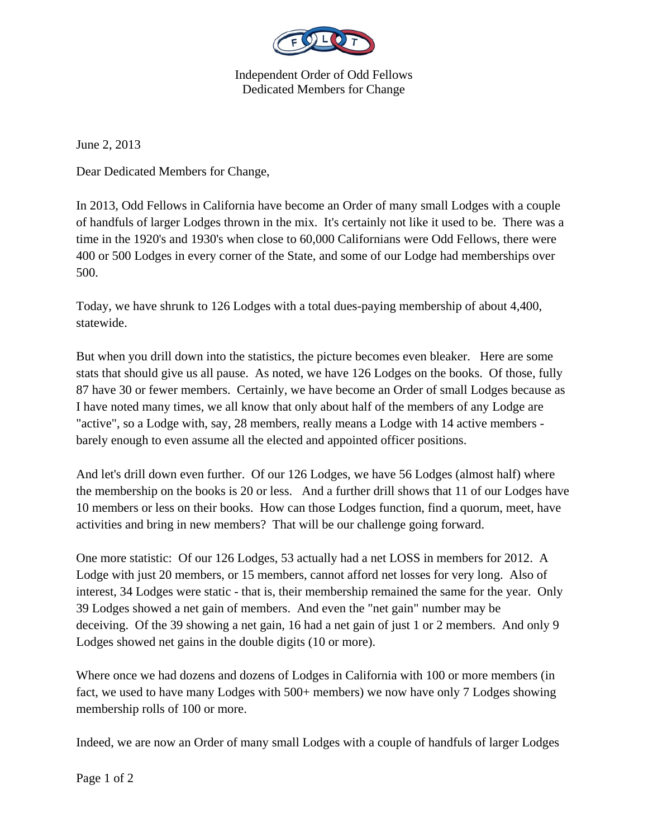

Independent Order of Odd Fellows Dedicated Members for Change

June 2, 2013

Dear Dedicated Members for Change,

In 2013, Odd Fellows in California have become an Order of many small Lodges with a couple of handfuls of larger Lodges thrown in the mix. It's certainly not like it used to be. There was a time in the 1920's and 1930's when close to 60,000 Californians were Odd Fellows, there were 400 or 500 Lodges in every corner of the State, and some of our Lodge had memberships over 500.

Today, we have shrunk to 126 Lodges with a total dues-paying membership of about 4,400, statewide.

But when you drill down into the statistics, the picture becomes even bleaker. Here are some stats that should give us all pause. As noted, we have 126 Lodges on the books. Of those, fully 87 have 30 or fewer members. Certainly, we have become an Order of small Lodges because as I have noted many times, we all know that only about half of the members of any Lodge are "active", so a Lodge with, say, 28 members, really means a Lodge with 14 active members barely enough to even assume all the elected and appointed officer positions.

And let's drill down even further. Of our 126 Lodges, we have 56 Lodges (almost half) where the membership on the books is 20 or less. And a further drill shows that 11 of our Lodges have 10 members or less on their books. How can those Lodges function, find a quorum, meet, have activities and bring in new members? That will be our challenge going forward.

One more statistic: Of our 126 Lodges, 53 actually had a net LOSS in members for 2012. A Lodge with just 20 members, or 15 members, cannot afford net losses for very long. Also of interest, 34 Lodges were static - that is, their membership remained the same for the year. Only 39 Lodges showed a net gain of members. And even the "net gain" number may be deceiving. Of the 39 showing a net gain, 16 had a net gain of just 1 or 2 members. And only 9 Lodges showed net gains in the double digits (10 or more).

Where once we had dozens and dozens of Lodges in California with 100 or more members (in fact, we used to have many Lodges with 500+ members) we now have only 7 Lodges showing membership rolls of 100 or more.

Indeed, we are now an Order of many small Lodges with a couple of handfuls of larger Lodges